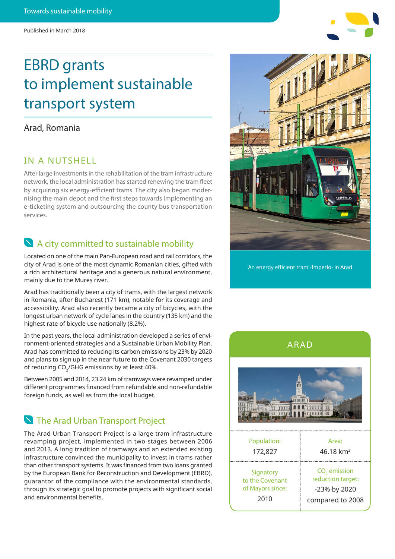# EBRD grants to implement sustainable transport system

### Arad, Romania

### IN A NUTSHELL

After large investments in the rehabilitation of the tram infrastructure network, the local administration has started renewing the tram fleet by acquiring six energy-efficient trams. The city also began modernising the main depot and the first steps towards implementing an e-ticketing system and outsourcing the county bus transportation services.

## A city committed to sustainable mobility

Located on one of the main Pan-European road and rail corridors, the city of Arad is one of the most dynamic Romanian cities, gifted with a rich architectural heritage and a generous natural environment, mainly due to the Mureș river.

Arad has traditionally been a city of trams, with the largest network in Romania, after Bucharest (171 km), notable for its coverage and accessibility. Arad also recently became a city of bicycles, with the longest urban network of cycle lanes in the country (135 km) and the highest rate of bicycle use nationally (8.2%).

In the past years, the local administration developed a series of environment-oriented strategies and a Sustainable Urban Mobility Plan. Arad has committed to reducing its carbon emissions by 23% by 2020 and plans to sign up in the near future to the Covenant 2030 targets of reducing CO<sub>2</sub>/GHG emissions by at least 40%.

Between 2005 and 2014, 23.24 km of tramways were revamped under different programmes financed from refundable and non-refundable foreign funds, as well as from the local budget.

# **N** The Arad Urban Transport Project

The Arad Urban Transport Project is a large tram infrastructure revamping project, implemented in two stages between 2006 and 2013. A long tradition of tramways and an extended existing infrastructure convinced the municipality to invest in trams rather than other transport systems. It was financed from two loans granted by the European Bank for Reconstruction and Development (EBRD), guarantor of the compliance with the environmental standards, through its strategic goal to promote projects with significant social and environmental benefits.